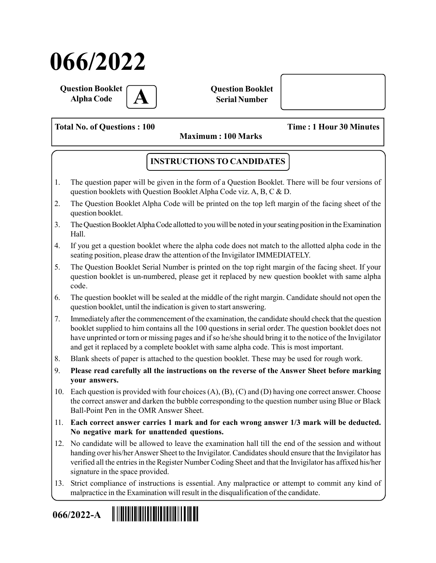# 066/2022

Question Booklet **Alpha Code** 

Question Booklet Serial Number

Total No. of Questions : 100 Time : 1 Hour 30 Minutes

Maximum : 100 Marks

### INSTRUCTIONS TO CANDIDATES

- 1. The question paper will be given in the form of a Question Booklet. There will be four versions of question booklets with Question Booklet Alpha Code viz. A, B, C & D.
- 2. The Question Booklet Alpha Code will be printed on the top left margin of the facing sheet of the question booklet.
- 3. The Question Booklet Alpha Code allotted to you will be noted in your seating position in the Examination Hall.
- 4. If you get a question booklet where the alpha code does not match to the allotted alpha code in the seating position, please draw the attention of the Invigilator IMMEDIATELY.
- 5. The Question Booklet Serial Number is printed on the top right margin of the facing sheet. If your question booklet is un-numbered, please get it replaced by new question booklet with same alpha code.
- 6. The question booklet will be sealed at the middle of the right margin. Candidate should not open the question booklet, until the indication is given to start answering.
- 7. Immediately after the commencement of the examination, the candidate should check that the question booklet supplied to him contains all the 100 questions in serial order. The question booklet does not have unprinted or torn or missing pages and if so he/she should bring it to the notice of the Invigilator and get it replaced by a complete booklet with same alpha code. This is most important.
- 8. Blank sheets of paper is attached to the question booklet. These may be used for rough work.
- 9. Please read carefully all the instructions on the reverse of the Answer Sheet before marking your answers.
- 10. Each question is provided with four choices (A), (B), (C) and (D) having one correct answer. Choose the correct answer and darken the bubble corresponding to the question number using Blue or Black Ball-Point Pen in the OMR Answer Sheet.
- 11. Each correct answer carries 1 mark and for each wrong answer 1/3 mark will be deducted. No negative mark for unattended questions.
- 12. No candidate will be allowed to leave the examination hall till the end of the session and without handing over his/her Answer Sheet to the Invigilator. Candidates should ensure that the Invigilator has verified all the entries in the Register Number Coding Sheet and that the Invigilator has affixed his/her signature in the space provided.
- 13. Strict compliance of instructions is essential. Any malpractice or attempt to commit any kind of malpractice in the Examination will result in the disqualification of the candidate.

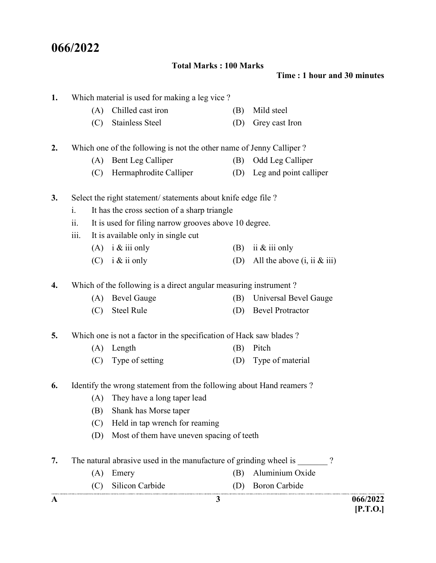## 066/2022

1. Which material is used for making a leg vice ?

#### Total Marks : 100 Marks

(A) Chilled cast iron (B) Mild steel

Time : 1 hour and 30 minutes

| A  |      |                                                                     | 3   |                               | 066/2022<br>[P.T.O.] |
|----|------|---------------------------------------------------------------------|-----|-------------------------------|----------------------|
|    | (C)  | Silicon Carbide                                                     |     | (D) Boron Carbide             |                      |
|    | (A)  | Emery                                                               | (B) | Aluminium Oxide               |                      |
| 7. |      | The natural abrasive used in the manufacture of grinding wheel is   |     |                               |                      |
|    | (D)  | Most of them have uneven spacing of teeth                           |     |                               |                      |
|    | (C)  | Held in tap wrench for reaming                                      |     |                               |                      |
|    | (B)  | Shank has Morse taper                                               |     |                               |                      |
|    | (A)  | They have a long taper lead                                         |     |                               |                      |
| 6. |      | Identify the wrong statement from the following about Hand reamers? |     |                               |                      |
|    | (C)  | Type of setting                                                     | (D) | Type of material              |                      |
|    | (A)  | Length                                                              | (B) | Pitch                         |                      |
| 5. |      | Which one is not a factor in the specification of Hack saw blades ? |     |                               |                      |
|    | (C)  | <b>Steel Rule</b>                                                   | (D) | <b>Bevel Protractor</b>       |                      |
|    | (A)  | <b>Bevel Gauge</b>                                                  | (B) | Universal Bevel Gauge         |                      |
| 4. |      | Which of the following is a direct angular measuring instrument?    |     |                               |                      |
|    |      | $(C)$ i & ii only                                                   | (D) | All the above $(i, ii &$ iii) |                      |
|    |      | $(A)$ i & iii only                                                  | (B) | ii & iii only                 |                      |
|    | iii. | It is available only in single cut                                  |     |                               |                      |
|    | ii.  | It is used for filing narrow grooves above 10 degree.               |     |                               |                      |
|    | i.   | It has the cross section of a sharp triangle                        |     |                               |                      |
| 3. |      | Select the right statement/statements about knife edge file?        |     |                               |                      |
|    | (C)  | Hermaphrodite Calliper                                              |     | (D) Leg and point calliper    |                      |
|    |      | (A) Bent Leg Calliper                                               | (B) | Odd Leg Calliper              |                      |
| 2. |      | Which one of the following is not the other name of Jenny Calliper? |     |                               |                      |
|    | (C)  | <b>Stainless Steel</b>                                              | (D) | Grey cast Iron                |                      |
|    |      |                                                                     |     |                               |                      |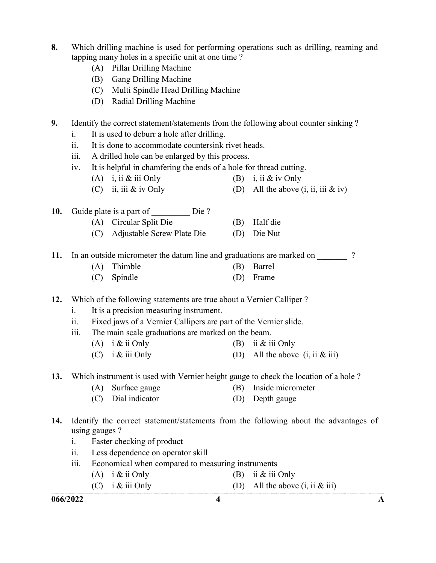- 8. Which drilling machine is used for performing operations such as drilling, reaming and tapping many holes in a specific unit at one time ?
	- (A) Pillar Drilling Machine
	- (B) Gang Drilling Machine
	- (C) Multi Spindle Head Drilling Machine
	- (D) Radial Drilling Machine
- 9. Identify the correct statement/statements from the following about counter sinking ?
	- i. It is used to deburr a hole after drilling.
	- ii. It is done to accommodate countersink rivet heads.
	- iii. A drilled hole can be enlarged by this process.
	- iv. It is helpful in chamfering the ends of a hole for thread cutting.
		- (A) i, ii & iii Only (B) i, ii & iv Only
		- (C) ii, iii  $\&$  iv Only (D) All the above (i, ii, iii  $\&$  iv)
- 10. Guide plate is a part of Die ?
	- (A) Circular Split Die (B) Half die
		- (C) Adjustable Screw Plate Die (D) Die Nut

11. In an outside micrometer the datum line and graduations are marked on  $\frac{1}{2}$ ?

- (A) Thimble (B) Barrel
- (C) Spindle (D) Frame
- 12. Which of the following statements are true about a Vernier Calliper ?
	- i. It is a precision measuring instrument.
	- ii. Fixed jaws of a Vernier Callipers are part of the Vernier slide.
	- iii. The main scale graduations are marked on the beam.
		- (A) i  $\&$  ii Only (B) ii  $\&$  iii Only
		- (C) i & iii Only (D) All the above  $(i, ii & iii)$

13. Which instrument is used with Vernier height gauge to check the location of a hole ?

- (A) Surface gauge (B) Inside micrometer
- (C) Dial indicator (D) Depth gauge
- 14. Identify the correct statement/statements from the following about the advantages of using gauges ?
	- i. Faster checking of product
	- ii. Less dependence on operator skill
	- iii. Economical when compared to measuring instruments
		- (A)  $i \& \text{ii Only}$  (B) ii  $\& \text{iii Only}$
		- (C) i  $\&$  iii Only (D) All the above (i, ii  $\&$  iii)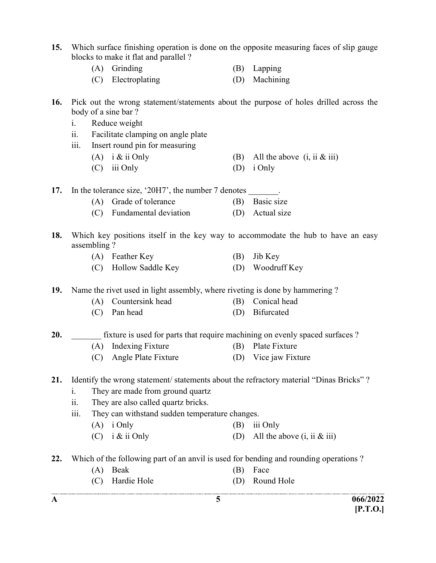A  $\overline{5}$  066/2022 15. Which surface finishing operation is done on the opposite measuring faces of slip gauge blocks to make it flat and parallel ? (A) Grinding (B) Lapping (C) Electroplating (D) Machining 16. Pick out the wrong statement/statements about the purpose of holes drilled across the body of a sine bar ? i. Reduce weight ii. Facilitate clamping on angle plate iii. Insert round pin for measuring (A) i & ii Only (B) All the above  $(i, ii \& iii)$  (C) iii Only (D) i Only 17. In the tolerance size, '20H7', the number 7 denotes . (A) Grade of tolerance (B) Basic size (C) Fundamental deviation (D) Actual size 18. Which key positions itself in the key way to accommodate the hub to have an easy assembling ? (A) Feather Key (B) Jib Key (C) Hollow Saddle Key (D) Woodruff Key 19. Name the rivet used in light assembly, where riveting is done by hammering ? (A) Countersink head (B) Conical head (C) Pan head (D) Bifurcated 20. **EXAM** fixture is used for parts that require machining on evenly spaced surfaces ? (A) Indexing Fixture (B) Plate Fixture (C) Angle Plate Fixture (D) Vice jaw Fixture 21. Identify the wrong statement/statements about the refractory material "Dinas Bricks"? i. They are made from ground quartz ii. They are also called quartz bricks. iii. They can withstand sudden temperature changes. (A) i Only (B) iii Only (C) i & ii Only (D) All the above  $(i, ii \& iii)$ 22. Which of the following part of an anvil is used for bending and rounding operations? (A) Beak (B) Face (C) Hardie Hole (D) Round Hole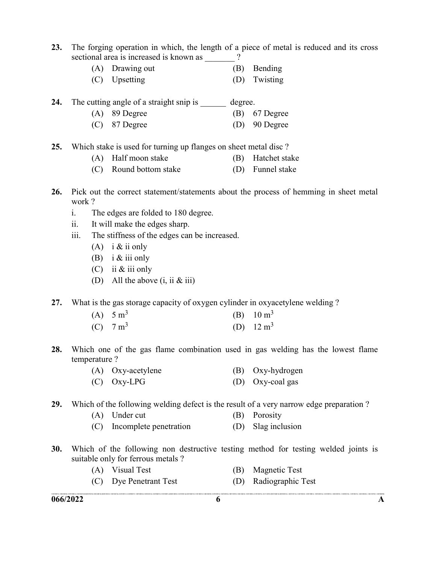- 23. The forging operation in which, the length of a piece of metal is reduced and its cross sectional area is increased is known as  $\frac{1}{2}$ ?
	- (A) Drawing out (B) Bending
	- (C) Upsetting (D) Twisting

24. The cutting angle of a straight snip is degree.

- (A) 89 Degree (B) 67 Degree
- (C) 87 Degree (D) 90 Degree
- 25. Which stake is used for turning up flanges on sheet metal disc?
	- (A) Half moon stake (B) Hatchet stake
	- (C) Round bottom stake (D) Funnel stake
- 26. Pick out the correct statement/statements about the process of hemming in sheet metal work ?
	- i. The edges are folded to 180 degree.
	- ii. It will make the edges sharp.
	- iii. The stiffness of the edges can be increased.
		- (A) i  $&$  ii only
		- (B) i  $&$  iii only
		- (C) ii & iii only
		- (D) All the above  $(i, ii \& iii)$
- 27. What is the gas storage capacity of oxygen cylinder in oxyacetylene welding ?

| (A) $5 \text{ m}^3$ | (B) $10 \text{ m}^3$ |
|---------------------|----------------------|
| (C) $7 \text{ m}^3$ | (D) $12 \text{ m}^3$ |

- 28. Which one of the gas flame combination used in gas welding has the lowest flame temperature ?
	- (A) Oxy-acetylene (B) Oxy-hydrogen (C) Oxy-LPG (D) Oxy-coal gas

29. Which of the following welding defect is the result of a very narrow edge preparation ?

- (A) Under cut (B) Porosity
- (C) Incomplete penetration (D) Slag inclusion
- 30. Which of the following non destructive testing method for testing welded joints is suitable only for ferrous metals ?
	- (A) Visual Test (B) Magnetic Test
	- (C) Dye Penetrant Test (D) Radiographic Test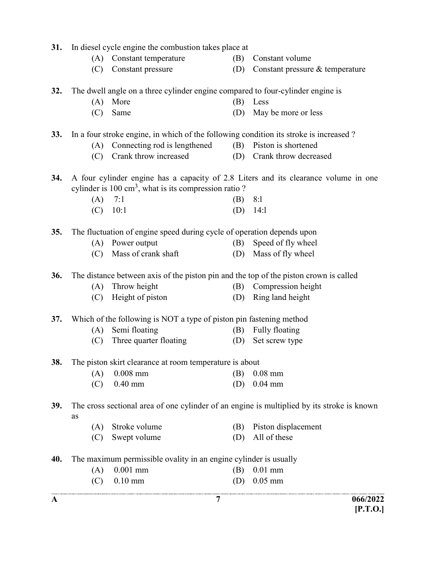| 31.        |     | In diesel cycle engine the combustion takes place at                                  |     |                                                                                            |
|------------|-----|---------------------------------------------------------------------------------------|-----|--------------------------------------------------------------------------------------------|
|            | (A) | Constant temperature                                                                  | (B) | Constant volume                                                                            |
|            | (C) | Constant pressure                                                                     | (D) | Constant pressure & temperature                                                            |
| 32.        |     | The dwell angle on a three cylinder engine compared to four-cylinder engine is        |     |                                                                                            |
|            | (A) | More                                                                                  | (B) | Less                                                                                       |
|            | (C) | Same                                                                                  | (D) | May be more or less                                                                        |
| 33.        |     | In a four stroke engine, in which of the following condition its stroke is increased? |     |                                                                                            |
|            | (A) | Connecting rod is lengthened                                                          | (B) | Piston is shortened                                                                        |
|            | (C) | Crank throw increased                                                                 | (D) | Crank throw decreased                                                                      |
| 34.        |     |                                                                                       |     | A four cylinder engine has a capacity of 2.8 Liters and its clearance volume in one        |
|            |     | cylinder is 100 cm <sup>3</sup> , what is its compression ratio?                      |     |                                                                                            |
|            | (A) | 7:1                                                                                   | (B) | 8:1                                                                                        |
|            | (C) | 10:1                                                                                  | (D) | 14:1                                                                                       |
| 35.        |     | The fluctuation of engine speed during cycle of operation depends upon                |     |                                                                                            |
|            | (A) | Power output                                                                          | (B) | Speed of fly wheel                                                                         |
|            | (C) | Mass of crank shaft                                                                   | (D) | Mass of fly wheel                                                                          |
| 36.        |     | The distance between axis of the piston pin and the top of the piston crown is called |     |                                                                                            |
|            | (A) | Throw height                                                                          | (B) | Compression height                                                                         |
|            | (C) | Height of piston                                                                      | (D) | Ring land height                                                                           |
| 37.        |     | Which of the following is NOT a type of piston pin fastening method                   |     |                                                                                            |
|            | (A) | Semi floating                                                                         | (B) | Fully floating                                                                             |
|            | (C) | Three quarter floating                                                                | (D) | Set screw type                                                                             |
| 38.        |     | The piston skirt clearance at room temperature is about                               |     |                                                                                            |
|            | (A) | $0.008$ mm                                                                            | (B) | $0.08$ mm                                                                                  |
|            | (C) | $0.40$ mm                                                                             | (D) | $0.04$ mm                                                                                  |
| <b>39.</b> | as  |                                                                                       |     | The cross sectional area of one cylinder of an engine is multiplied by its stroke is known |
|            | (A) | Stroke volume                                                                         | (B) | Piston displacement                                                                        |
|            | (C) | Swept volume                                                                          | (D) | All of these                                                                               |
| 40.        |     | The maximum permissible ovality in an engine cylinder is usually                      |     |                                                                                            |
|            | (A) | $0.001$ mm                                                                            | (B) | $0.01$ mm                                                                                  |
|            | (C) | $0.10$ mm                                                                             | (D) | $0.05$ mm                                                                                  |
|            |     |                                                                                       |     |                                                                                            |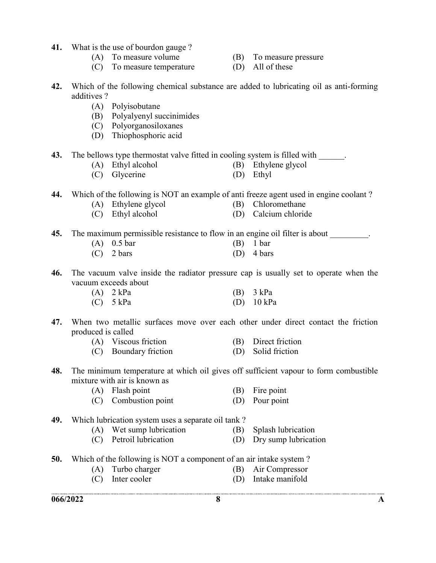- 41. What is the use of bourdon gauge ?
	-
	- (C) To measure temperature (D) All of these
	- (A) To measure volume (B) To measure pressure
		-
- 42. Which of the following chemical substance are added to lubricating oil as anti-forming additives ?
	- (A) Polyisobutane
	- (B) Polyalyenyl succinimides
	- (C) Polyorganosiloxanes
	- (D) Thiophosphoric acid

43. The bellows type thermostat valve fitted in cooling system is filled with \_\_\_\_\_\_.

- (A) Ethyl alcohol (B) Ethylene glycol
- (C) Glycerine (D) Ethyl

44. Which of the following is NOT an example of anti freeze agent used in engine coolant?

- (A) Ethylene glycol (B) Chloromethane
	-
	- (C) Ethyl alcohol (D) Calcium chloride

45. The maximum permissible resistance to flow in an engine oil filter is about

| $(A)$ 0.5 bar | $(B)$ 1 bar          |
|---------------|----------------------|
| $(C)$ 2 bars  | (D) $4 \text{ bars}$ |

46. The vacuum valve inside the radiator pressure cap is usually set to operate when the vacuum exceeds about

| $(A)$ 2 kPa | $(B)$ 3 kPa          |
|-------------|----------------------|
| $(C)$ 5 kPa | (D) $10 \text{ kPa}$ |

47. When two metallic surfaces move over each other under direct contact the friction produced is called

| (A) Viscous friction  | (B) Direct friction |
|-----------------------|---------------------|
| (C) Boundary friction | (D) Solid friction  |

- 48. The minimum temperature at which oil gives off sufficient vapour to form combustible mixture with air is known as
	- (A) Flash point (B) Fire point
	- (C) Combustion point (D) Pour point

#### 49. Which lubrication system uses a separate oil tank ?

- (A) Wet sump lubrication (B) Splash lubrication
- (C) Petroil lubrication (D) Dry sump lubrication
- 50. Which of the following is NOT a component of an air intake system ?
	- (A) Turbo charger (B) Air Compressor
	- (C) Inter cooler (D) Intake manifold
-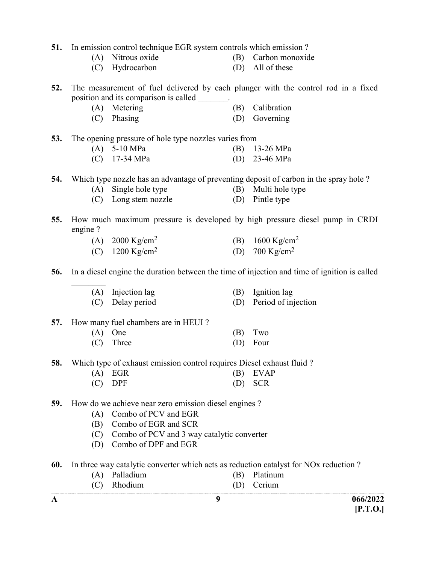| 51. | In emission control technique EGR system controls which emission? |                                                                        |     |                                                                                              |  |  |
|-----|-------------------------------------------------------------------|------------------------------------------------------------------------|-----|----------------------------------------------------------------------------------------------|--|--|
|     |                                                                   | (A) Nitrous oxide                                                      | (B) | Carbon monoxide                                                                              |  |  |
|     | (C)                                                               | Hydrocarbon                                                            | (D) | All of these                                                                                 |  |  |
| 52. |                                                                   |                                                                        |     | The measurement of fuel delivered by each plunger with the control rod in a fixed            |  |  |
|     |                                                                   | position and its comparison is called _______.                         |     |                                                                                              |  |  |
|     |                                                                   | (A) Metering                                                           | (B) | Calibration                                                                                  |  |  |
|     |                                                                   | (C) Phasing                                                            | (D) | Governing                                                                                    |  |  |
| 53. |                                                                   | The opening pressure of hole type nozzles varies from                  |     |                                                                                              |  |  |
|     |                                                                   | $(A)$ 5-10 MPa                                                         | (B) | 13-26 MPa                                                                                    |  |  |
|     |                                                                   | $(C)$ 17-34 MPa                                                        | (D) | 23-46 MPa                                                                                    |  |  |
| 54. |                                                                   |                                                                        |     | Which type nozzle has an advantage of preventing deposit of carbon in the spray hole?        |  |  |
|     | (A)                                                               | Single hole type                                                       | (B) | Multi hole type                                                                              |  |  |
|     |                                                                   | (C) Long stem nozzle                                                   | (D) | Pintle type                                                                                  |  |  |
| 55. | engine?                                                           |                                                                        |     | How much maximum pressure is developed by high pressure diesel pump in CRDI                  |  |  |
|     |                                                                   | (A) 2000 Kg/cm <sup>2</sup>                                            |     | (B) $1600 \text{ Kg/cm}^2$                                                                   |  |  |
|     |                                                                   | (C) $1200 \text{ Kg/cm}^2$                                             | (D) | 700 Kg/cm <sup>2</sup>                                                                       |  |  |
| 56. |                                                                   |                                                                        |     | In a diesel engine the duration between the time of injection and time of ignition is called |  |  |
|     |                                                                   | (A) Injection lag                                                      | (B) | Ignition lag                                                                                 |  |  |
|     | (C)                                                               | Delay period                                                           | (D) | Period of injection                                                                          |  |  |
| 57. |                                                                   | How many fuel chambers are in HEUI?                                    |     |                                                                                              |  |  |
|     | (A)                                                               | One                                                                    | (B) | Two                                                                                          |  |  |
|     | (C)                                                               | Three                                                                  | (D) | Four                                                                                         |  |  |
| 58. |                                                                   | Which type of exhaust emission control requires Diesel exhaust fluid ? |     |                                                                                              |  |  |
|     | (A)                                                               | EGR                                                                    | (B) | <b>EVAP</b>                                                                                  |  |  |
|     | (C)                                                               | <b>DPF</b>                                                             | (D) | <b>SCR</b>                                                                                   |  |  |
| 59. |                                                                   | How do we achieve near zero emission diesel engines?                   |     |                                                                                              |  |  |
|     | (A)                                                               | Combo of PCV and EGR                                                   |     |                                                                                              |  |  |
|     | (B)                                                               | Combo of EGR and SCR                                                   |     |                                                                                              |  |  |
|     | (C)                                                               | Combo of PCV and 3 way catalytic converter                             |     |                                                                                              |  |  |
|     | (D)                                                               | Combo of DPF and EGR                                                   |     |                                                                                              |  |  |
| 60. |                                                                   |                                                                        |     | In three way catalytic converter which acts as reduction catalyst for NOx reduction?         |  |  |
|     | (A)                                                               | Palladium                                                              | (B) | Platinum                                                                                     |  |  |
|     | (C)                                                               | Rhodium                                                                | (D) | Cerium                                                                                       |  |  |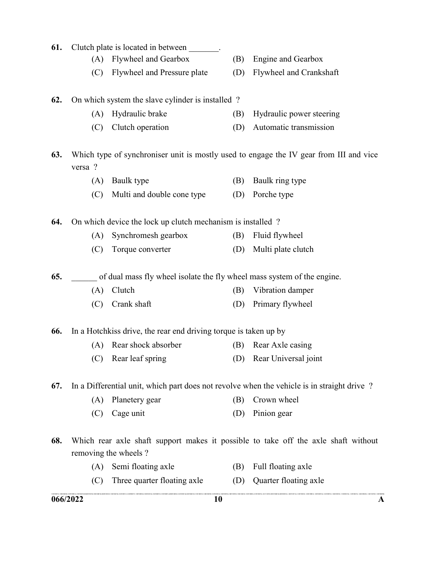|     | 066/2022                                                         | CONTROL ALCOHOLISTIC THE DOWNLOAN CONTROL CONTROL TO FEMALE SIMPLEMENT CONTROL CONTROL CONTROL FOR THE<br>10 |     | A                                                                                           |  |
|-----|------------------------------------------------------------------|--------------------------------------------------------------------------------------------------------------|-----|---------------------------------------------------------------------------------------------|--|
|     | (C)                                                              | Three quarter floating axle                                                                                  | (D) | Quarter floating axle                                                                       |  |
|     | (A)                                                              | Semi floating axle                                                                                           | (B) | Full floating axle                                                                          |  |
| 68. |                                                                  | removing the wheels?                                                                                         |     | Which rear axle shaft support makes it possible to take off the axle shaft without          |  |
|     |                                                                  |                                                                                                              |     |                                                                                             |  |
|     | (C)                                                              | Cage unit                                                                                                    | (D) | Pinion gear                                                                                 |  |
|     | (A)                                                              | Planetery gear                                                                                               | (B) | Crown wheel                                                                                 |  |
| 67. |                                                                  |                                                                                                              |     | In a Differential unit, which part does not revolve when the vehicle is in straight drive ? |  |
|     | (C)                                                              | Rear leaf spring                                                                                             | (D) | Rear Universal joint                                                                        |  |
|     | (A)                                                              | Rear shock absorber                                                                                          | (B) | Rear Axle casing                                                                            |  |
| 66. | In a Hotchkiss drive, the rear end driving torque is taken up by |                                                                                                              |     |                                                                                             |  |
|     | (C)                                                              | Crank shaft                                                                                                  | (D) | Primary flywheel                                                                            |  |
|     | (A)                                                              | Clutch                                                                                                       | (B) | Vibration damper                                                                            |  |
| 65. |                                                                  | of dual mass fly wheel isolate the fly wheel mass system of the engine.                                      |     |                                                                                             |  |
|     | (C)                                                              | Torque converter                                                                                             | (D) | Multi plate clutch                                                                          |  |
|     | (A)                                                              | Synchromesh gearbox                                                                                          | (B) | Fluid flywheel                                                                              |  |
| 64. |                                                                  | On which device the lock up clutch mechanism is installed?                                                   |     |                                                                                             |  |
|     | (C)                                                              | Multi and double cone type                                                                                   | (D) | Porche type                                                                                 |  |
|     | (A)                                                              | Baulk type                                                                                                   | (B) | Baulk ring type                                                                             |  |
| 63. | versa ?                                                          |                                                                                                              |     | Which type of synchroniser unit is mostly used to engage the IV gear from III and vice      |  |
|     |                                                                  |                                                                                                              |     |                                                                                             |  |
|     | (C)                                                              | Clutch operation                                                                                             | (D) | Automatic transmission                                                                      |  |
|     | (A)                                                              | Hydraulic brake                                                                                              | (B) | Hydraulic power steering                                                                    |  |
| 62. |                                                                  | On which system the slave cylinder is installed?                                                             |     |                                                                                             |  |
|     | (C)                                                              | Flywheel and Pressure plate                                                                                  | (D) | Flywheel and Crankshaft                                                                     |  |
|     | (A)                                                              | Flywheel and Gearbox                                                                                         | (B) | <b>Engine and Gearbox</b>                                                                   |  |
| 61. |                                                                  | Clutch plate is located in between                                                                           |     |                                                                                             |  |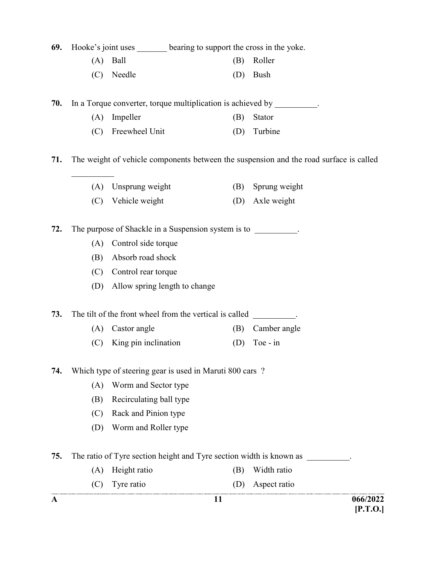|  | 69. Hooke's joint uses | bearing to support the cross in the yoke. |  |
|--|------------------------|-------------------------------------------|--|
|--|------------------------|-------------------------------------------|--|

|  | $(A)$ Ball |  | (B) Roller |
|--|------------|--|------------|
|--|------------|--|------------|

(C) Needle (D) Bush

70. In a Torque converter, torque multiplication is achieved by

- (A) Impeller (B) Stator
- (C) Freewheel Unit (D) Turbine

71. The weight of vehicle components between the suspension and the road surface is called

- (A) Unsprung weight (B) Sprung weight
- (C) Vehicle weight (D) Axle weight

72. The purpose of Shackle in a Suspension system is to  $\qquad \qquad$ .

- (A) Control side torque
- (B) Absorb road shock
- (C) Control rear torque
- (D) Allow spring length to change

73. The tilt of the front wheel from the vertical is called

- (A) Castor angle (B) Camber angle
- (C) King pin inclination (D) Toe in

#### 74. Which type of steering gear is used in Maruti 800 cars ?

- (A) Worm and Sector type
- (B) Recirculating ball type
- (C) Rack and Pinion type
- (D) Worm and Roller type
- 75. The ratio of Tyre section height and Tyre section width is known as  $\qquad \qquad$ 
	- (A) Height ratio (B) Width ratio
		- (C) Tyre ratio (D) Aspect ratio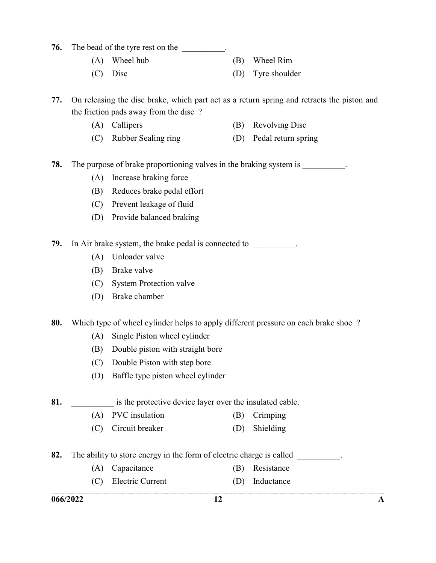#### **76.** The bead of the tyre rest on the

- (A) Wheel hub (B) Wheel Rim
- (C) Disc (D) Tyre shoulder

77. On releasing the disc brake, which part act as a return spring and retracts the piston and the friction pads away from the disc ?

- (A) Callipers (B) Revolving Disc
- (C) Rubber Sealing ring (D) Pedal return spring

78. The purpose of brake proportioning valves in the braking system is

- (A) Increase braking force
- (B) Reduces brake pedal effort
- (C) Prevent leakage of fluid
- (D) Provide balanced braking

79. In Air brake system, the brake pedal is connected to  $\blacksquare$ 

- (A) Unloader valve
- (B) Brake valve
- (C) System Protection valve
- (D) Brake chamber

80. Which type of wheel cylinder helps to apply different pressure on each brake shoe?

- (A) Single Piston wheel cylinder
- (B) Double piston with straight bore
- (C) Double Piston with step bore
- (D) Baffle type piston wheel cylinder
- 81. **Show** is the protective device layer over the insulated cable.
	- (A) PVC insulation (B) Crimping
	- (C) Circuit breaker (D) Shielding
- 82. The ability to store energy in the form of electric charge is called
	- (A) Capacitance (B) Resistance
	- (C) Electric Current (D) Inductance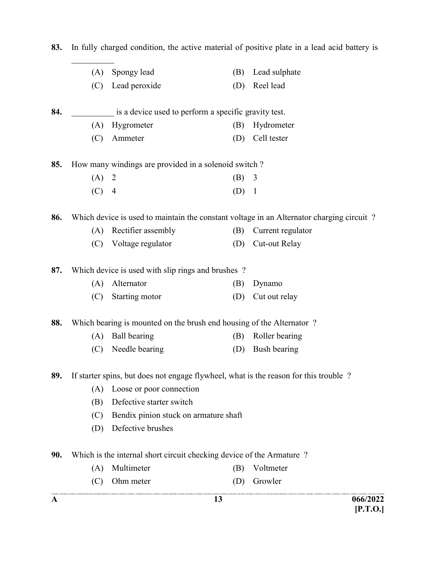|     |     |                                                                      | 13      | 066/2022                                                                                 |
|-----|-----|----------------------------------------------------------------------|---------|------------------------------------------------------------------------------------------|
|     | (C) | Ohm meter                                                            | (D)     | Growler                                                                                  |
|     | (A) | Multimeter                                                           | (B)     | Voltmeter                                                                                |
| 90. |     | Which is the internal short circuit checking device of the Armature? |         |                                                                                          |
|     | (D) |                                                                      |         |                                                                                          |
|     | (C) | Bendix pinion stuck on armature shaft<br>Defective brushes           |         |                                                                                          |
|     | (B) | Defective starter switch                                             |         |                                                                                          |
|     | (A) | Loose or poor connection                                             |         |                                                                                          |
| 89. |     |                                                                      |         | If starter spins, but does not engage flywheel, what is the reason for this trouble ?    |
|     | (C) | Needle bearing                                                       | (D)     | Bush bearing                                                                             |
|     | (A) | Ball bearing                                                         | (B)     | Roller bearing                                                                           |
| 88. |     | Which bearing is mounted on the brush end housing of the Alternator? |         |                                                                                          |
|     |     |                                                                      |         |                                                                                          |
|     | (C) | Starting motor                                                       | (D)     | Cut out relay                                                                            |
|     | (A) | Alternator                                                           | (B)     | Dynamo                                                                                   |
| 87. |     | Which device is used with slip rings and brushes ?                   |         |                                                                                          |
|     | (C) | Voltage regulator                                                    | (D)     | Cut-out Relay                                                                            |
|     | (A) | Rectifier assembly                                                   | (B)     | Current regulator                                                                        |
| 86. |     |                                                                      |         | Which device is used to maintain the constant voltage in an Alternator charging circuit? |
|     | (C) | $\overline{4}$                                                       | (D)     | $\mathbf{1}$                                                                             |
|     | (A) | 2                                                                    | $(B)$ 3 |                                                                                          |
| 85. |     | How many windings are provided in a solenoid switch?                 |         |                                                                                          |
|     | (C) | Ammeter                                                              | (D)     | Cell tester                                                                              |
|     | (A) | Hygrometer                                                           | (B)     | Hydrometer                                                                               |
| 84. |     | is a device used to perform a specific gravity test.                 |         |                                                                                          |
|     | (C) | Lead peroxide                                                        | (D)     | Reel lead                                                                                |
|     | (A) | Spongy lead                                                          | (B)     | Lead sulphate                                                                            |

[P.T.O.]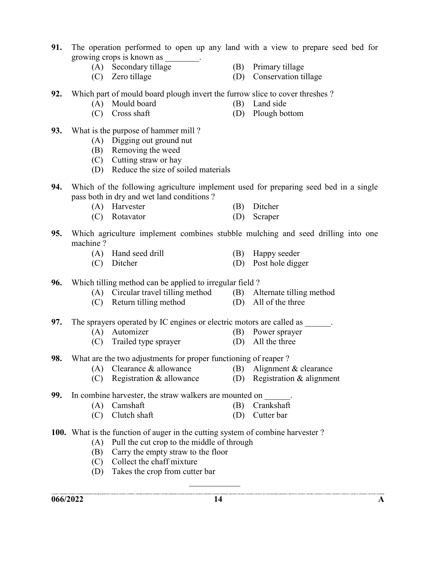- 91. The operation performed to open up any land with a view to prepare seed bed for growing crops is known as \_\_\_\_\_\_\_\_.
	-
	-
	- (A) Secondary tillage (B) Primary tillage
	- (C) Zero tillage (D) Conservation tillage
- 92. Which part of mould board plough invert the furrow slice to cover threshes ?
	- (A) Mould board (B) Land side
		-
- 
- (C) Cross shaft (D) Plough bottom
- 93. What is the purpose of hammer mill ?
	- (A) Digging out ground nut
	- (B) Removing the weed
	- (C) Cutting straw or hay
	- (D) Reduce the size of soiled materials
- 94. Which of the following agriculture implement used for preparing seed bed in a single pass both in dry and wet land conditions ?
	- (A) Harvester (B) Ditcher
	- (C) Rotavator (D) Scraper
- 95. Which agriculture implement combines stubble mulching and seed drilling into one machine ?
	- (A) Hand seed drill (B) Happy seeder
	- (C) Ditcher (D) Post hole digger

96. Which tilling method can be applied to irregular field ?

- (A) Circular travel tilling method (B) Alternate tilling method
- (C) Return tilling method (D) All of the three

97. The sprayers operated by IC engines or electric motors are called as \_\_\_\_\_\_\_.

- (A) Automizer (B) Power sprayer
- (C) Trailed type sprayer (D) All the three
- 98. What are the two adjustments for proper functioning of reaper ?
	- (A) Clearance & allowance (B) Alignment & clearance
		-
- - (C) Registration & allowance (D) Registration & alignment
- 99. In combine harvester, the straw walkers are mounted on
	- (A) Camshaft (B) Crankshaft
	- (C) Clutch shaft (D) Cutter bar
- 100. What is the function of auger in the cutting system of combine harvester ?
	- (A) Pull the cut crop to the middle of through
	- (B) Carry the empty straw to the floor
	- (C) Collect the chaff mixture
	- (D) Takes the crop from cutter bar

 $\mathcal{L}=\mathcal{L}^{\mathcal{L}}$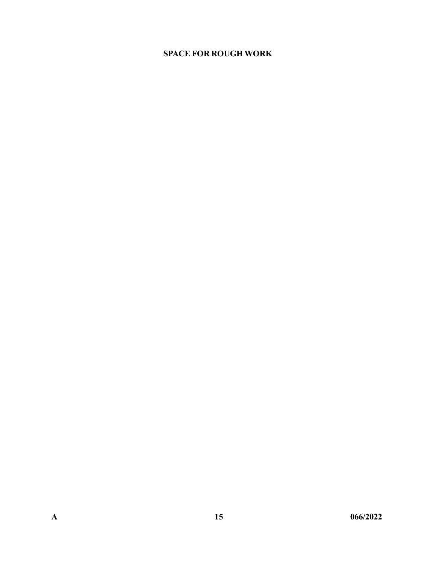#### SPACE FOR ROUGH WORK